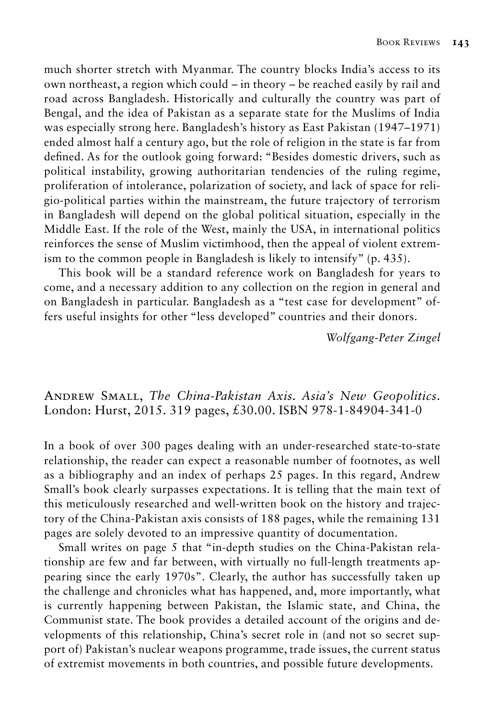much shorter stretch with Myanmar. The country blocks India's access to its own northeast, a region which could – in theory – be reached easily by rail and road across Bangladesh. Historically and culturally the country was part of Bengal, and the idea of Pakistan as a separate state for the Muslims of India was especially strong here. Bangladesh's history as East Pakistan (1947–1971) ended almost half a century ago, but the role of religion in the state is far from defined. As for the outlook going forward: "Besides domestic drivers, such as political instability, growing authoritarian tendencies of the ruling regime, proliferation of intolerance, polarization of society, and lack of space for religio-political parties within the mainstream, the future trajectory of terrorism in Bangladesh will depend on the global political situation, especially in the Middle East. If the role of the West, mainly the USA, in international politics reinforces the sense of Muslim victimhood, then the appeal of violent extremism to the common people in Bangladesh is likely to intensify" (p. 435).

This book will be a standard reference work on Bangladesh for years to come, and a necessary addition to any collection on the region in general and on Bangladesh in particular. Bangladesh as a "test case for development" offers useful insights for other "less developed" countries and their donors.

*Wolfgang-Peter Zingel*

## Andrew Small, *The China-Pakistan Axis. Asia's New Geopolitics*. London: Hurst, 2015. 319 pages, £30.00. ISBN 978-1-84904-341-0

In a book of over 300 pages dealing with an under-researched state-to-state relationship, the reader can expect a reasonable number of footnotes, as well as a bibliography and an index of perhaps 25 pages. In this regard, Andrew Small's book clearly surpasses expectations. It is telling that the main text of this meticulously researched and well-written book on the history and trajectory of the China-Pakistan axis consists of 188 pages, while the remaining 131 pages are solely devoted to an impressive quantity of documentation.

Small writes on page 5 that "in-depth studies on the China-Pakistan relationship are few and far between, with virtually no full-length treatments appearing since the early 1970s". Clearly, the author has successfully taken up the challenge and chronicles what has happened, and, more importantly, what is currently happening between Pakistan, the Islamic state, and China, the Communist state. The book provides a detailed account of the origins and developments of this relationship, China's secret role in (and not so secret support of) Pakistan's nuclear weapons programme, trade issues, the current status of extremist movements in both countries, and possible future developments.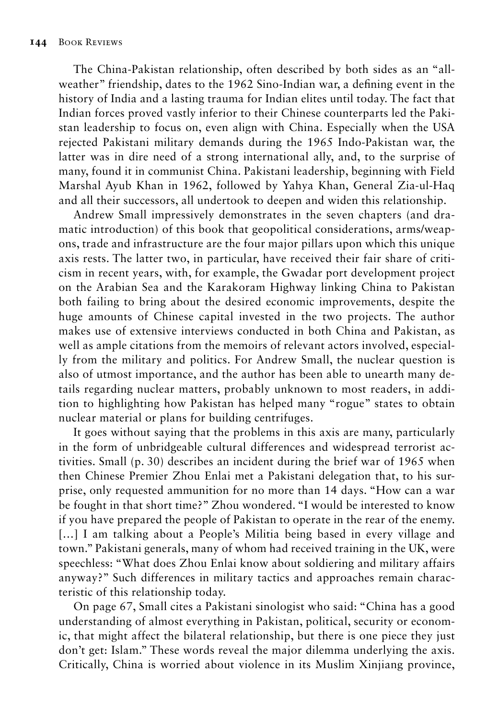The China-Pakistan relationship, often described by both sides as an "allweather" friendship, dates to the 1962 Sino-Indian war, a defining event in the history of India and a lasting trauma for Indian elites until today. The fact that Indian forces proved vastly inferior to their Chinese counterparts led the Pakistan leadership to focus on, even align with China. Especially when the USA rejected Pakistani military demands during the 1965 Indo-Pakistan war, the latter was in dire need of a strong international ally, and, to the surprise of many, found it in communist China. Pakistani leadership, beginning with Field Marshal Ayub Khan in 1962, followed by Yahya Khan, General Zia-ul-Haq and all their successors, all undertook to deepen and widen this relationship.

Andrew Small impressively demonstrates in the seven chapters (and dramatic introduction) of this book that geopolitical considerations, arms/weapons, trade and infrastructure are the four major pillars upon which this unique axis rests. The latter two, in particular, have received their fair share of criticism in recent years, with, for example, the Gwadar port development project on the Arabian Sea and the Karakoram Highway linking China to Pakistan both failing to bring about the desired economic improvements, despite the huge amounts of Chinese capital invested in the two projects. The author makes use of extensive interviews conducted in both China and Pakistan, as well as ample citations from the memoirs of relevant actors involved, especially from the military and politics. For Andrew Small, the nuclear question is also of utmost importance, and the author has been able to unearth many details regarding nuclear matters, probably unknown to most readers, in addition to highlighting how Pakistan has helped many "rogue" states to obtain nuclear material or plans for building centrifuges.

It goes without saying that the problems in this axis are many, particularly in the form of unbridgeable cultural differences and widespread terrorist activities. Small (p. 30) describes an incident during the brief war of 1965 when then Chinese Premier Zhou Enlai met a Pakistani delegation that, to his surprise, only requested ammunition for no more than 14 days. "How can a war be fought in that short time?" Zhou wondered. "I would be interested to know if you have prepared the people of Pakistan to operate in the rear of the enemy. [...] I am talking about a People's Militia being based in every village and town." Pakistani generals, many of whom had received training in the UK, were speechless: "What does Zhou Enlai know about soldiering and military affairs anyway?" Such differences in military tactics and approaches remain characteristic of this relationship today.

On page 67, Small cites a Pakistani sinologist who said: "China has a good understanding of almost everything in Pakistan, political, security or economic, that might affect the bilateral relationship, but there is one piece they just don't get: Islam." These words reveal the major dilemma underlying the axis. Critically, China is worried about violence in its Muslim Xinjiang province,